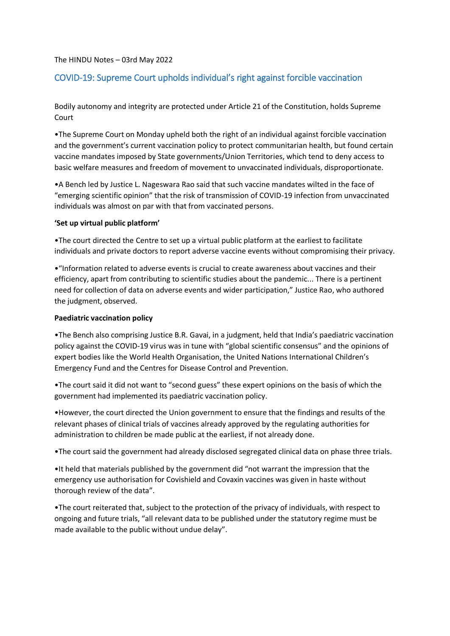### The HINDU Notes – 03rd May 2022

# COVID-19: Supreme Court upholds individual's right against forcible vaccination

Bodily autonomy and integrity are protected under Article 21 of the Constitution, holds Supreme Court

•The Supreme Court on Monday upheld both the right of an individual against forcible vaccination and the government's current vaccination policy to protect communitarian health, but found certain vaccine mandates imposed by State governments/Union Territories, which tend to deny access to basic welfare measures and freedom of movement to unvaccinated individuals, disproportionate.

•A Bench led by Justice L. Nageswara Rao said that such vaccine mandates wilted in the face of "emerging scientific opinion" that the risk of transmission of COVID-19 infection from unvaccinated individuals was almost on par with that from vaccinated persons.

#### **'Set up virtual public platform'**

•The court directed the Centre to set up a virtual public platform at the earliest to facilitate individuals and private doctors to report adverse vaccine events without compromising their privacy.

•"Information related to adverse events is crucial to create awareness about vaccines and their efficiency, apart from contributing to scientific studies about the pandemic... There is a pertinent need for collection of data on adverse events and wider participation," Justice Rao, who authored the judgment, observed.

#### **Paediatric vaccination policy**

•The Bench also comprising Justice B.R. Gavai, in a judgment, held that India's paediatric vaccination policy against the COVID-19 virus was in tune with "global scientific consensus" and the opinions of expert bodies like the World Health Organisation, the United Nations International Children's Emergency Fund and the Centres for Disease Control and Prevention.

•The court said it did not want to "second guess" these expert opinions on the basis of which the government had implemented its paediatric vaccination policy.

•However, the court directed the Union government to ensure that the findings and results of the relevant phases of clinical trials of vaccines already approved by the regulating authorities for administration to children be made public at the earliest, if not already done.

•The court said the government had already disclosed segregated clinical data on phase three trials.

•It held that materials published by the government did "not warrant the impression that the emergency use authorisation for Covishield and Covaxin vaccines was given in haste without thorough review of the data".

•The court reiterated that, subject to the protection of the privacy of individuals, with respect to ongoing and future trials, "all relevant data to be published under the statutory regime must be made available to the public without undue delay".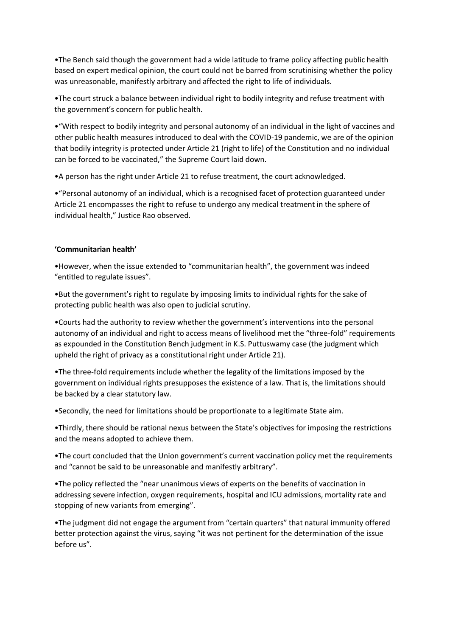•The Bench said though the government had a wide latitude to frame policy affecting public health based on expert medical opinion, the court could not be barred from scrutinising whether the policy was unreasonable, manifestly arbitrary and affected the right to life of individuals.

•The court struck a balance between individual right to bodily integrity and refuse treatment with the government's concern for public health.

•"With respect to bodily integrity and personal autonomy of an individual in the light of vaccines and other public health measures introduced to deal with the COVID-19 pandemic, we are of the opinion that bodily integrity is protected under Article 21 (right to life) of the Constitution and no individual can be forced to be vaccinated," the Supreme Court laid down.

•A person has the right under Article 21 to refuse treatment, the court acknowledged.

•"Personal autonomy of an individual, which is a recognised facet of protection guaranteed under Article 21 encompasses the right to refuse to undergo any medical treatment in the sphere of individual health," Justice Rao observed.

### **'Communitarian health'**

•However, when the issue extended to "communitarian health", the government was indeed "entitled to regulate issues".

•But the government's right to regulate by imposing limits to individual rights for the sake of protecting public health was also open to judicial scrutiny.

•Courts had the authority to review whether the government's interventions into the personal autonomy of an individual and right to access means of livelihood met the "three-fold" requirements as expounded in the Constitution Bench judgment in K.S. Puttuswamy case (the judgment which upheld the right of privacy as a constitutional right under Article 21).

•The three-fold requirements include whether the legality of the limitations imposed by the government on individual rights presupposes the existence of a law. That is, the limitations should be backed by a clear statutory law.

•Secondly, the need for limitations should be proportionate to a legitimate State aim.

•Thirdly, there should be rational nexus between the State's objectives for imposing the restrictions and the means adopted to achieve them.

•The court concluded that the Union government's current vaccination policy met the requirements and "cannot be said to be unreasonable and manifestly arbitrary".

•The policy reflected the "near unanimous views of experts on the benefits of vaccination in addressing severe infection, oxygen requirements, hospital and ICU admissions, mortality rate and stopping of new variants from emerging".

•The judgment did not engage the argument from "certain quarters" that natural immunity offered better protection against the virus, saying "it was not pertinent for the determination of the issue before us".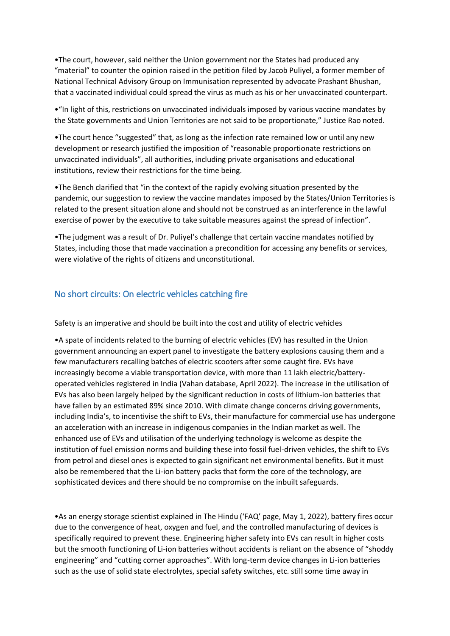•The court, however, said neither the Union government nor the States had produced any "material" to counter the opinion raised in the petition filed by Jacob Puliyel, a former member of National Technical Advisory Group on Immunisation represented by advocate Prashant Bhushan, that a vaccinated individual could spread the virus as much as his or her unvaccinated counterpart.

•"In light of this, restrictions on unvaccinated individuals imposed by various vaccine mandates by the State governments and Union Territories are not said to be proportionate," Justice Rao noted.

•The court hence "suggested" that, as long as the infection rate remained low or until any new development or research justified the imposition of "reasonable proportionate restrictions on unvaccinated individuals", all authorities, including private organisations and educational institutions, review their restrictions for the time being.

•The Bench clarified that "in the context of the rapidly evolving situation presented by the pandemic, our suggestion to review the vaccine mandates imposed by the States/Union Territories is related to the present situation alone and should not be construed as an interference in the lawful exercise of power by the executive to take suitable measures against the spread of infection".

•The judgment was a result of Dr. Puliyel's challenge that certain vaccine mandates notified by States, including those that made vaccination a precondition for accessing any benefits or services, were violative of the rights of citizens and unconstitutional.

## No short circuits: On electric vehicles catching fire

Safety is an imperative and should be built into the cost and utility of electric vehicles

•A spate of incidents related to the burning of electric vehicles (EV) has resulted in the Union government announcing an expert panel to investigate the battery explosions causing them and a few manufacturers recalling batches of electric scooters after some caught fire. EVs have increasingly become a viable transportation device, with more than 11 lakh electric/batteryoperated vehicles registered in India (Vahan database, April 2022). The increase in the utilisation of EVs has also been largely helped by the significant reduction in costs of lithium-ion batteries that have fallen by an estimated 89% since 2010. With climate change concerns driving governments, including India's, to incentivise the shift to EVs, their manufacture for commercial use has undergone an acceleration with an increase in indigenous companies in the Indian market as well. The enhanced use of EVs and utilisation of the underlying technology is welcome as despite the institution of fuel emission norms and building these into fossil fuel-driven vehicles, the shift to EVs from petrol and diesel ones is expected to gain significant net environmental benefits. But it must also be remembered that the Li-ion battery packs that form the core of the technology, are sophisticated devices and there should be no compromise on the inbuilt safeguards.

•As an energy storage scientist explained in The Hindu ('FAQ' page, May 1, 2022), battery fires occur due to the convergence of heat, oxygen and fuel, and the controlled manufacturing of devices is specifically required to prevent these. Engineering higher safety into EVs can result in higher costs but the smooth functioning of Li-ion batteries without accidents is reliant on the absence of "shoddy engineering" and "cutting corner approaches". With long-term device changes in Li-ion batteries such as the use of solid state electrolytes, special safety switches, etc. still some time away in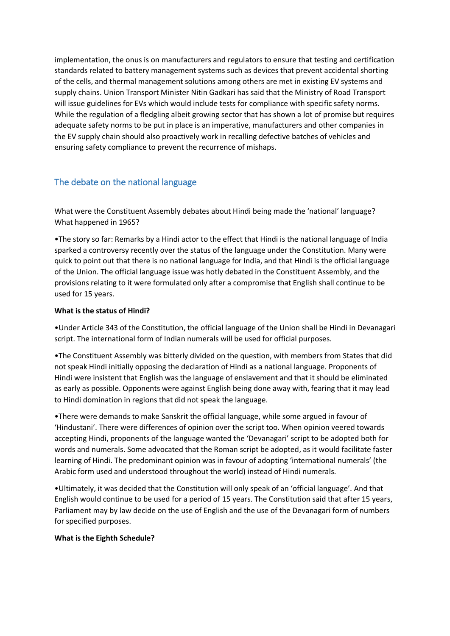implementation, the onus is on manufacturers and regulators to ensure that testing and certification standards related to battery management systems such as devices that prevent accidental shorting of the cells, and thermal management solutions among others are met in existing EV systems and supply chains. Union Transport Minister Nitin Gadkari has said that the Ministry of Road Transport will issue guidelines for EVs which would include tests for compliance with specific safety norms. While the regulation of a fledgling albeit growing sector that has shown a lot of promise but requires adequate safety norms to be put in place is an imperative, manufacturers and other companies in the EV supply chain should also proactively work in recalling defective batches of vehicles and ensuring safety compliance to prevent the recurrence of mishaps.

# The debate on the national language

What were the Constituent Assembly debates about Hindi being made the 'national' language? What happened in 1965?

•The story so far: Remarks by a Hindi actor to the effect that Hindi is the national language of India sparked a controversy recently over the status of the language under the Constitution. Many were quick to point out that there is no national language for India, and that Hindi is the official language of the Union. The official language issue was hotly debated in the Constituent Assembly, and the provisions relating to it were formulated only after a compromise that English shall continue to be used for 15 years.

## **What is the status of Hindi?**

•Under Article 343 of the Constitution, the official language of the Union shall be Hindi in Devanagari script. The international form of Indian numerals will be used for official purposes.

•The Constituent Assembly was bitterly divided on the question, with members from States that did not speak Hindi initially opposing the declaration of Hindi as a national language. Proponents of Hindi were insistent that English was the language of enslavement and that it should be eliminated as early as possible. Opponents were against English being done away with, fearing that it may lead to Hindi domination in regions that did not speak the language.

•There were demands to make Sanskrit the official language, while some argued in favour of 'Hindustani'. There were differences of opinion over the script too. When opinion veered towards accepting Hindi, proponents of the language wanted the 'Devanagari' script to be adopted both for words and numerals. Some advocated that the Roman script be adopted, as it would facilitate faster learning of Hindi. The predominant opinion was in favour of adopting 'international numerals' (the Arabic form used and understood throughout the world) instead of Hindi numerals.

•Ultimately, it was decided that the Constitution will only speak of an 'official language'. And that English would continue to be used for a period of 15 years. The Constitution said that after 15 years, Parliament may by law decide on the use of English and the use of the Devanagari form of numbers for specified purposes.

### **What is the Eighth Schedule?**